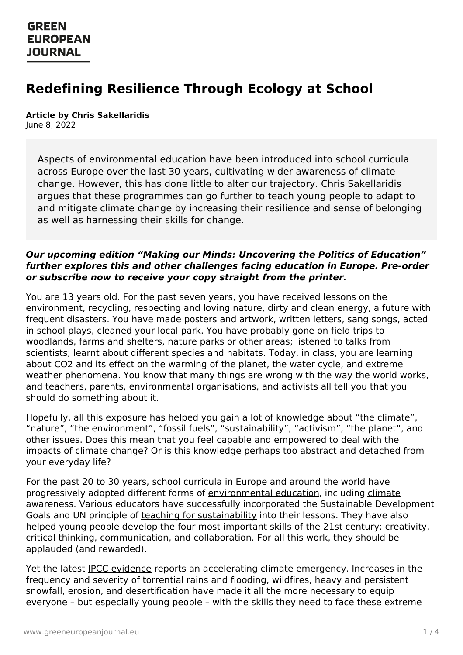#### **GREEN EUROPEAN JOURNAL**

# **Redefining Resilience Through Ecology at School**

## **Article by Chris Sakellaridis**

June 8, 2022

Aspects of environmental education have been introduced into school curricula across Europe over the last 30 years, cultivating wider awareness of climate change. However, this has done little to alter our trajectory. Chris Sakellaridis argues that these programmes can go further to teach young people to adapt to and mitigate climate change by increasing their resilience and sense of belonging as well as harnessing their skills for change.

#### **Our upcoming edition "Making our Minds: Uncovering the Politics of Education" further explores this and other [challenges](https://www.greeneuropeanjournal.eu/subscribe-order/) facing education in Europe. Pre-order or subscribe now to receive your copy straight from the printer.**

You are 13 years old. For the past seven years, you have received lessons on the environment, recycling, respecting and loving nature, dirty and clean energy, a future with frequent disasters. You have made posters and artwork, written letters, sang songs, acted in school plays, cleaned your local park. You have probably gone on field trips to woodlands, farms and shelters, nature parks or other areas; listened to talks from scientists; learnt about different species and habitats. Today, in class, you are learning about CO2 and its effect on the warming of the planet, the water cycle, and extreme weather phenomena. You know that many things are wrong with the way the world works, and teachers, parents, environmental organisations, and activists all tell you that you should do something about it.

Hopefully, all this exposure has helped you gain a lot of knowledge about "the climate", "nature", "the environment", "fossil fuels", "sustainability", "activism", "the planet", and other issues. Does this mean that you feel capable and empowered to deal with the impacts of climate change? Or is this knowledge perhaps too abstract and detached from your everyday life?

For the past 20 to 30 years, school curricula in Europe and around the world have progressively adopted different forms of [environmental](https://www.wwf.org.uk/get-involved/schools/resources/climate-change-resources) education, including climate awareness. Various educators have successfully incorporated the [Sustainable](https://www.un.org/sustainabledevelopment/education/) Development Goals and UN principle of teaching for [sustainability](https://cft.vanderbilt.edu/guides-sub-pages/teaching-sustainability/) into their lessons. They have also helped young people develop the four most important skills of the 21st century: creativity, critical thinking, communication, and collaboration. For all this work, they should be [applauded](https://www.greeneuropeanjournal.eu) (and rewarded).

Yet the latest IPCC [evidence](https://www.ipcc.ch/report/ar6/wg1/) reports an accelerating climate emergency. Increases in the frequency and severity of torrential rains and flooding, wildfires, heavy and persistent snowfall, erosion, and desertification have made it all the more necessary to equip everyone – but especially young people – with the skills they need to face these extreme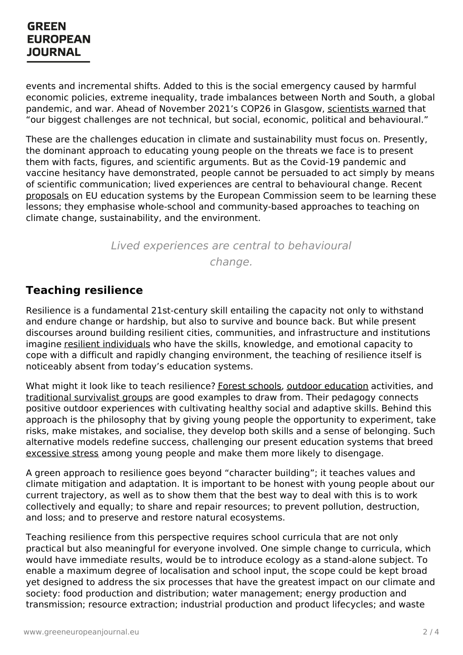#### **GREEN EUROPEAN JOURNAL**

events and incremental shifts. Added to this is the social emergency caused by harmful economic policies, extreme inequality, trade imbalances between North and South, a global pandemic, and war. Ahead of November 2021's COP26 in Glasgow, [scientists](https://www.scientistswarningeurope.org.uk/) warned that "our biggest challenges are not technical, but social, economic, political and behavioural."

These are the challenges education in climate and sustainability must focus on. Presently, the dominant approach to educating young people on the threats we face is to present them with facts, figures, and scientific arguments. But as the Covid-19 pandemic and vaccine hesitancy have demonstrated, people cannot be persuaded to act simply by means of scientific communication; lived experiences are central to behavioural change. Recent [proposals](https://ec.europa.eu/commission/presscorner/detail/en/IP_22_327) on EU education systems by the European Commission seem to be learning these lessons; they emphasise whole-school and community-based approaches to teaching on climate change, sustainability, and the environment.

> Lived experiences are central to behavioural change.

#### **Teaching resilience**

Resilience is a fundamental 21st-century skill entailing the capacity not only to withstand and endure change or hardship, but also to survive and bounce back. But while present discourses around building resilient cities, communities, and infrastructure and institutions imagine resilient [individuals](https://positivepsychology.com/teaching-resilience/) who have the skills, knowledge, and emotional capacity to cope with a difficult and rapidly changing environment, the teaching of resilience itself is noticeably absent from today's education systems.

What might it look like to teach resilience? Forest [schools](https://forestschoolassociation.org/what-is-forest-school/), outdoor [education](https://outdoored.eu/) activities, and [traditional](https://www.scout.org/europe) survivalist groups are good examples to draw from. Their pedagogy connects positive outdoor experiences with cultivating healthy social and adaptive skills. Behind this approach is the philosophy that by giving young people the opportunity to experiment, take risks, make mistakes, and socialise, they develop both skills and a sense of belonging. Such alternative models redefine success, challenging our present education systems that breed [excessive](https://projects.iq.harvard.edu/files/eap/files/c._simpson_effects_of_testing_on_well_being_5_16.pdf) [stress](https://projects.iq.harvard.edu/files/eap/files/c._simpson_effects_of_testing_on_well_being_5_16.pdf) among young people and make them more likely to disengage.

A green approach to resilience goes beyond "character building"; it teaches values and climate mitigation and adaptation. It is important to be honest with young people about our current trajectory, as well as to show them that the best way to deal with this is to work collectively and equally; to share and repair resources; to prevent pollution, destruction, and loss; and to preserve and restore natural ecosystems.

Teaching resilience from this perspective requires school curricula that are not only [practical](https://www.greeneuropeanjournal.eu) but also meaningful for everyone involved. One simple change to curricula, which would have immediate results, would be to introduce ecology as a stand-alone subject. To enable a maximum degree of localisation and school input, the scope could be kept broad yet designed to address the six processes that have the greatest impact on our climate and society: food production and distribution; water management; energy production and transmission; resource extraction; industrial production and product lifecycles; and waste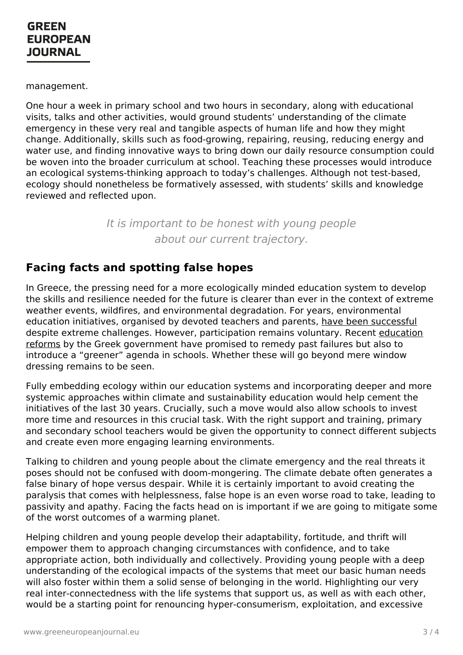management.

One hour a week in primary school and two hours in secondary, along with educational visits, talks and other activities, would ground students' understanding of the climate emergency in these very real and tangible aspects of human life and how they might change. Additionally, skills such as food-growing, repairing, reusing, reducing energy and water use, and finding innovative ways to bring down our daily resource consumption could be woven into the broader curriculum at school. Teaching these processes would introduce an ecological systems-thinking approach to today's challenges. Although not test-based, ecology should nonetheless be formatively assessed, with students' skills and knowledge reviewed and reflected upon.

> It is important to be honest with young people about our current trajectory.

## **Facing facts and spotting false hopes**

In Greece, the pressing need for a more ecologically minded education system to develop the skills and resilience needed for the future is clearer than ever in the context of extreme weather events, wildfires, and environmental degradation. For years, environmental education initiatives, organised by devoted teachers and parents, have been [successful](https://gr.boell.org/el/2021/08/01/periballontiki-ekpaideysi-stin-ellada-stayrodromi-gia-mia-polypothiti-allagi-stasis) despite extreme challenges. However, [participation](http://iep.edu.gr/el/nea-programmata-spoudon-arxiki-selida) remains voluntary. Recent education reforms by the Greek government have promised to remedy past failures but also to introduce a "greener" agenda in schools. Whether these will go beyond mere window dressing remains to be seen.

Fully embedding ecology within our education systems and incorporating deeper and more systemic approaches within climate and sustainability education would help cement the initiatives of the last 30 years. Crucially, such a move would also allow schools to invest more time and resources in this crucial task. With the right support and training, primary and secondary school teachers would be given the opportunity to connect different subjects and create even more engaging learning environments.

Talking to children and young people about the climate emergency and the real threats it poses should not be confused with doom-mongering. The climate debate often generates a false binary of hope versus despair. While it is certainly important to avoid creating the paralysis that comes with helplessness, false hope is an even worse road to take, leading to passivity and apathy. Facing the facts head on is important if we are going to mitigate some of the worst outcomes of a warming planet.

Helping children and young people develop their adaptability, fortitude, and thrift will [empower](https://www.greeneuropeanjournal.eu) them to approach changing circumstances with confidence, and to take appropriate action, both individually and collectively. Providing young people with a deep understanding of the ecological impacts of the systems that meet our basic human needs will also foster within them a solid sense of belonging in the world. Highlighting our very real inter-connectedness with the life systems that support us, as well as with each other, would be a starting point for renouncing hyper-consumerism, exploitation, and excessive